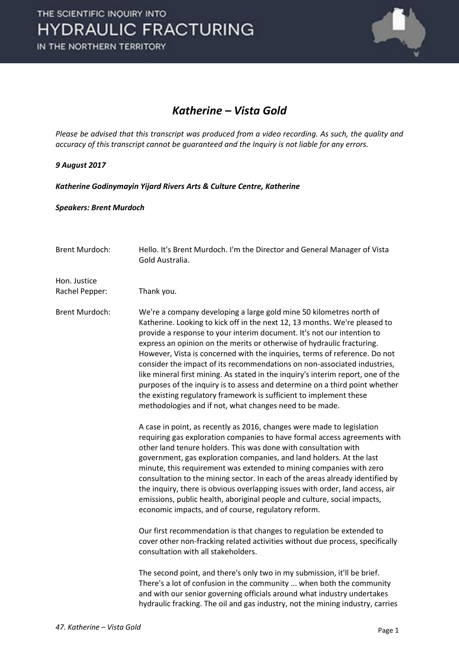

#### *Katherine – Vista Gold*

*Please be advised that this transcript was produced from a video recording. As such, the quality and accuracy of this transcript cannot be guaranteed and the Inquiry is not liable for any errors.*

#### *9 August 2017*

*Katherine Godinymayin Yijard Rivers Arts & Culture Centre, Katherine* 

#### *Speakers: Brent Murdoch*

| <b>Brent Murdoch:</b>          | Hello. It's Brent Murdoch. I'm the Director and General Manager of Vista<br>Gold Australia.                                                                                                                                                                                                                                                                                                                                                                                                                                                                                                                                                                                                                                                                         |
|--------------------------------|---------------------------------------------------------------------------------------------------------------------------------------------------------------------------------------------------------------------------------------------------------------------------------------------------------------------------------------------------------------------------------------------------------------------------------------------------------------------------------------------------------------------------------------------------------------------------------------------------------------------------------------------------------------------------------------------------------------------------------------------------------------------|
| Hon. Justice<br>Rachel Pepper: | Thank you.                                                                                                                                                                                                                                                                                                                                                                                                                                                                                                                                                                                                                                                                                                                                                          |
| <b>Brent Murdoch:</b>          | We're a company developing a large gold mine 50 kilometres north of<br>Katherine. Looking to kick off in the next 12, 13 months. We're pleased to<br>provide a response to your interim document. It's not our intention to<br>express an opinion on the merits or otherwise of hydraulic fracturing.<br>However, Vista is concerned with the inquiries, terms of reference. Do not<br>consider the impact of its recommendations on non-associated industries,<br>like mineral first mining. As stated in the inquiry's interim report, one of the<br>purposes of the inquiry is to assess and determine on a third point whether<br>the existing regulatory framework is sufficient to implement these<br>methodologies and if not, what changes need to be made. |
|                                | A case in point, as recently as 2016, changes were made to legislation<br>requiring gas exploration companies to have formal access agreements with<br>other land tenure holders. This was done with consultation with<br>government, gas exploration companies, and land holders. At the last<br>minute, this requirement was extended to mining companies with zero<br>consultation to the mining sector. In each of the areas already identified by<br>the inquiry, there is obvious overlapping issues with order, land access, air<br>emissions, public health, aboriginal people and culture, social impacts,<br>economic impacts, and of course, regulatory reform.                                                                                          |
|                                | Our first recommendation is that changes to regulation be extended to<br>cover other non-fracking related activities without due process, specifically<br>consultation with all stakeholders.                                                                                                                                                                                                                                                                                                                                                                                                                                                                                                                                                                       |
|                                | The second point, and there's only two in my submission, it'll be brief.<br>There's a lot of confusion in the community  when both the community<br>and with our senior governing officials around what industry undertakes<br>hydraulic fracking. The oil and gas industry, not the mining industry, carries                                                                                                                                                                                                                                                                                                                                                                                                                                                       |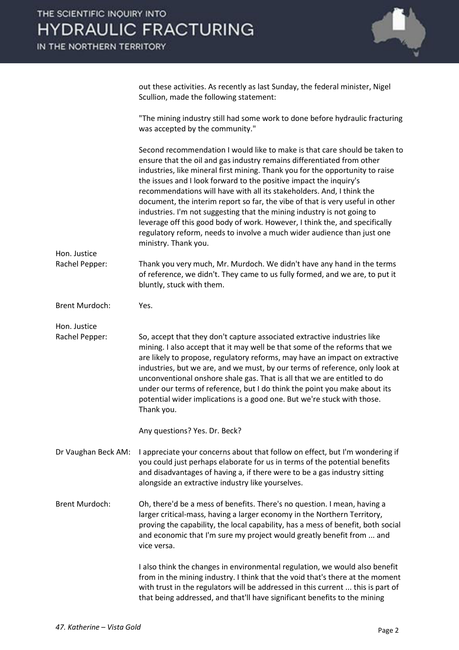out these activities. As recently as last Sunday, the federal minister, Nigel Scullion, made the following statement:

 "The mining industry still had some work to done before hydraulic fracturing was accepted by the community."

|                                | Second recommendation I would like to make is that care should be taken to<br>ensure that the oil and gas industry remains differentiated from other<br>industries, like mineral first mining. Thank you for the opportunity to raise<br>the issues and I look forward to the positive impact the inquiry's<br>recommendations will have with all its stakeholders. And, I think the<br>document, the interim report so far, the vibe of that is very useful in other<br>industries. I'm not suggesting that the mining industry is not going to<br>leverage off this good body of work. However, I think the, and specifically<br>regulatory reform, needs to involve a much wider audience than just one<br>ministry. Thank you. |
|--------------------------------|------------------------------------------------------------------------------------------------------------------------------------------------------------------------------------------------------------------------------------------------------------------------------------------------------------------------------------------------------------------------------------------------------------------------------------------------------------------------------------------------------------------------------------------------------------------------------------------------------------------------------------------------------------------------------------------------------------------------------------|
| Hon. Justice<br>Rachel Pepper: | Thank you very much, Mr. Murdoch. We didn't have any hand in the terms<br>of reference, we didn't. They came to us fully formed, and we are, to put it<br>bluntly, stuck with them.                                                                                                                                                                                                                                                                                                                                                                                                                                                                                                                                                |
| <b>Brent Murdoch:</b>          | Yes.                                                                                                                                                                                                                                                                                                                                                                                                                                                                                                                                                                                                                                                                                                                               |
| Hon. Justice<br>Rachel Pepper: | So, accept that they don't capture associated extractive industries like<br>mining. I also accept that it may well be that some of the reforms that we<br>are likely to propose, regulatory reforms, may have an impact on extractive<br>industries, but we are, and we must, by our terms of reference, only look at<br>unconventional onshore shale gas. That is all that we are entitled to do<br>under our terms of reference, but I do think the point you make about its<br>potential wider implications is a good one. But we're stuck with those.<br>Thank you.<br>Any questions? Yes. Dr. Beck?                                                                                                                           |
| Dr Vaughan Beck AM:            | I appreciate your concerns about that follow on effect, but I'm wondering if<br>you could just perhaps elaborate for us in terms of the potential benefits<br>and disadvantages of having a, if there were to be a gas industry sitting<br>alongside an extractive industry like yourselves.                                                                                                                                                                                                                                                                                                                                                                                                                                       |
| <b>Brent Murdoch:</b>          | Oh, there'd be a mess of benefits. There's no question. I mean, having a<br>larger critical-mass, having a larger economy in the Northern Territory,<br>proving the capability, the local capability, has a mess of benefit, both social<br>and economic that I'm sure my project would greatly benefit from  and<br>vice versa.                                                                                                                                                                                                                                                                                                                                                                                                   |
|                                | I also think the changes in environmental regulation, we would also benefit<br>from in the mining industry. I think that the void that's there at the moment<br>with trust in the regulators will be addressed in this current  this is part of<br>that being addressed, and that'll have significant benefits to the mining                                                                                                                                                                                                                                                                                                                                                                                                       |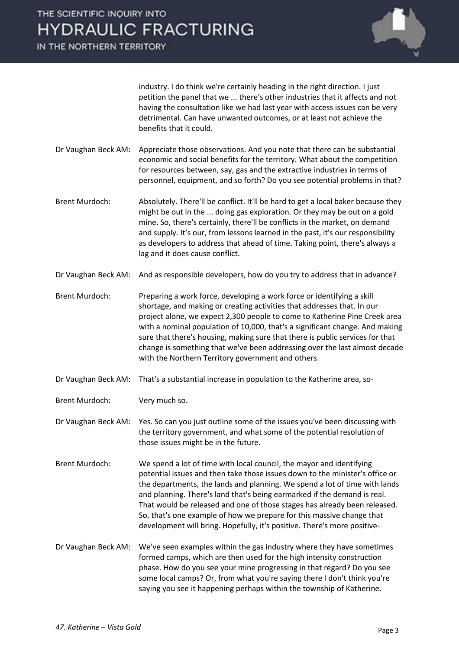IN THE NORTHERN TERRITORY



industry. I do think we're certainly heading in the right direction. I just petition the panel that we ... there's other industries that it affects and not having the consultation like we had last year with access issues can be very detrimental. Can have unwanted outcomes, or at least not achieve the benefits that it could.

- Dr Vaughan Beck AM: Appreciate those observations. And you note that there can be substantial economic and social benefits for the territory. What about the competition for resources between, say, gas and the extractive industries in terms of personnel, equipment, and so forth? Do you see potential problems in that?
- Brent Murdoch: Absolutely. There'll be conflict. It'll be hard to get a local baker because they might be out in the ... doing gas exploration. Or they may be out on a gold mine. So, there's certainly, there'll be conflicts in the market, on demand and supply. It's our, from lessons learned in the past, it's our responsibility as developers to address that ahead of time. Taking point, there's always a lag and it does cause conflict.
- Dr Vaughan Beck AM: And as responsible developers, how do you try to address that in advance?
- Brent Murdoch: Preparing a work force, developing a work force or identifying a skill shortage, and making or creating activities that addresses that. In our project alone, we expect 2,300 people to come to Katherine Pine Creek area with a nominal population of 10,000, that's a significant change. And making sure that there's housing, making sure that there is public services for that change is something that we've been addressing over the last almost decade with the Northern Territory government and others.
- Dr Vaughan Beck AM: That's a substantial increase in population to the Katherine area, so-
- Brent Murdoch: Very much so.

Dr Vaughan Beck AM: Yes. So can you just outline some of the issues you've been discussing with the territory government, and what some of the potential resolution of those issues might be in the future.

- Brent Murdoch: We spend a lot of time with local council, the mayor and identifying potential issues and then take those issues down to the minister's office or the departments, the lands and planning. We spend a lot of time with lands and planning. There's land that's being earmarked if the demand is real. That would be released and one of those stages has already been released. So, that's one example of how we prepare for this massive change that development will bring. Hopefully, it's positive. There's more positive-
- Dr Vaughan Beck AM: We've seen examples within the gas industry where they have sometimes formed camps, which are then used for the high intensity construction phase. How do you see your mine progressing in that regard? Do you see some local camps? Or, from what you're saying there I don't think you're saying you see it happening perhaps within the township of Katherine.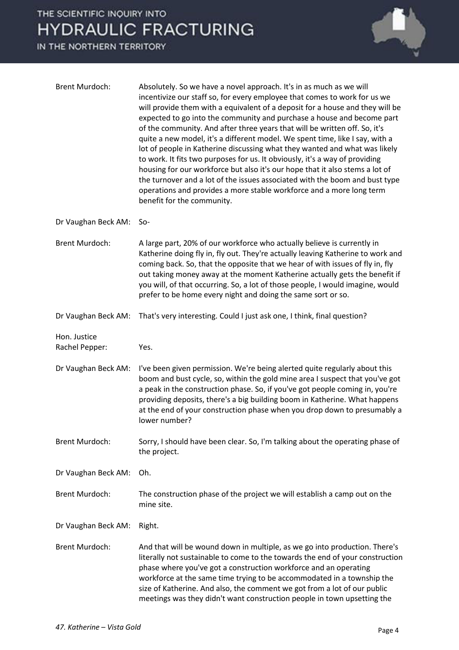

| <b>Brent Murdoch:</b>          | Absolutely. So we have a novel approach. It's in as much as we will<br>incentivize our staff so, for every employee that comes to work for us we<br>will provide them with a equivalent of a deposit for a house and they will be<br>expected to go into the community and purchase a house and become part<br>of the community. And after three years that will be written off. So, it's<br>quite a new model, it's a different model. We spent time, like I say, with a<br>lot of people in Katherine discussing what they wanted and what was likely<br>to work. It fits two purposes for us. It obviously, it's a way of providing<br>housing for our workforce but also it's our hope that it also stems a lot of<br>the turnover and a lot of the issues associated with the boom and bust type<br>operations and provides a more stable workforce and a more long term<br>benefit for the community. |
|--------------------------------|-------------------------------------------------------------------------------------------------------------------------------------------------------------------------------------------------------------------------------------------------------------------------------------------------------------------------------------------------------------------------------------------------------------------------------------------------------------------------------------------------------------------------------------------------------------------------------------------------------------------------------------------------------------------------------------------------------------------------------------------------------------------------------------------------------------------------------------------------------------------------------------------------------------|
| Dr Vaughan Beck AM:            | $So-$                                                                                                                                                                                                                                                                                                                                                                                                                                                                                                                                                                                                                                                                                                                                                                                                                                                                                                       |
| <b>Brent Murdoch:</b>          | A large part, 20% of our workforce who actually believe is currently in<br>Katherine doing fly in, fly out. They're actually leaving Katherine to work and<br>coming back. So, that the opposite that we hear of with issues of fly in, fly<br>out taking money away at the moment Katherine actually gets the benefit if<br>you will, of that occurring. So, a lot of those people, I would imagine, would<br>prefer to be home every night and doing the same sort or so.                                                                                                                                                                                                                                                                                                                                                                                                                                 |
| Dr Vaughan Beck AM:            | That's very interesting. Could I just ask one, I think, final question?                                                                                                                                                                                                                                                                                                                                                                                                                                                                                                                                                                                                                                                                                                                                                                                                                                     |
| Hon. Justice<br>Rachel Pepper: | Yes.                                                                                                                                                                                                                                                                                                                                                                                                                                                                                                                                                                                                                                                                                                                                                                                                                                                                                                        |
| Dr Vaughan Beck AM:            | I've been given permission. We're being alerted quite regularly about this<br>boom and bust cycle, so, within the gold mine area I suspect that you've got<br>a peak in the construction phase. So, if you've got people coming in, you're<br>providing deposits, there's a big building boom in Katherine. What happens<br>at the end of your construction phase when you drop down to presumably a<br>lower number?                                                                                                                                                                                                                                                                                                                                                                                                                                                                                       |
| <b>Brent Murdoch:</b>          | Sorry, I should have been clear. So, I'm talking about the operating phase of<br>the project.                                                                                                                                                                                                                                                                                                                                                                                                                                                                                                                                                                                                                                                                                                                                                                                                               |
| Dr Vaughan Beck AM:            | Oh.                                                                                                                                                                                                                                                                                                                                                                                                                                                                                                                                                                                                                                                                                                                                                                                                                                                                                                         |
| <b>Brent Murdoch:</b>          | The construction phase of the project we will establish a camp out on the<br>mine site.                                                                                                                                                                                                                                                                                                                                                                                                                                                                                                                                                                                                                                                                                                                                                                                                                     |
| Dr Vaughan Beck AM:            | Right.                                                                                                                                                                                                                                                                                                                                                                                                                                                                                                                                                                                                                                                                                                                                                                                                                                                                                                      |
| <b>Brent Murdoch:</b>          | And that will be wound down in multiple, as we go into production. There's<br>literally not sustainable to come to the towards the end of your construction<br>phase where you've got a construction workforce and an operating<br>workforce at the same time trying to be accommodated in a township the<br>size of Katherine. And also, the comment we got from a lot of our public<br>meetings was they didn't want construction people in town upsetting the                                                                                                                                                                                                                                                                                                                                                                                                                                            |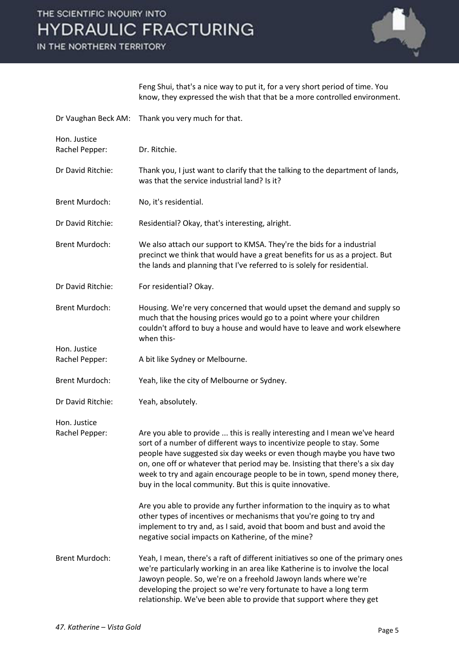IN THE NORTHERN TERRITORY



Feng Shui, that's a nice way to put it, for a very short period of time. You know, they expressed the wish that that be a more controlled environment.

| Dr Vaughan Beck AM:            | Thank you very much for that.                                                                                                                                                                                                                                                                                                                                                                                                                          |
|--------------------------------|--------------------------------------------------------------------------------------------------------------------------------------------------------------------------------------------------------------------------------------------------------------------------------------------------------------------------------------------------------------------------------------------------------------------------------------------------------|
| Hon. Justice<br>Rachel Pepper: | Dr. Ritchie.                                                                                                                                                                                                                                                                                                                                                                                                                                           |
| Dr David Ritchie:              | Thank you, I just want to clarify that the talking to the department of lands,<br>was that the service industrial land? Is it?                                                                                                                                                                                                                                                                                                                         |
| <b>Brent Murdoch:</b>          | No, it's residential.                                                                                                                                                                                                                                                                                                                                                                                                                                  |
| Dr David Ritchie:              | Residential? Okay, that's interesting, alright.                                                                                                                                                                                                                                                                                                                                                                                                        |
| <b>Brent Murdoch:</b>          | We also attach our support to KMSA. They're the bids for a industrial<br>precinct we think that would have a great benefits for us as a project. But<br>the lands and planning that I've referred to is solely for residential.                                                                                                                                                                                                                        |
| Dr David Ritchie:              | For residential? Okay.                                                                                                                                                                                                                                                                                                                                                                                                                                 |
| <b>Brent Murdoch:</b>          | Housing. We're very concerned that would upset the demand and supply so<br>much that the housing prices would go to a point where your children<br>couldn't afford to buy a house and would have to leave and work elsewhere<br>when this-                                                                                                                                                                                                             |
| Hon. Justice<br>Rachel Pepper: | A bit like Sydney or Melbourne.                                                                                                                                                                                                                                                                                                                                                                                                                        |
| <b>Brent Murdoch:</b>          | Yeah, like the city of Melbourne or Sydney.                                                                                                                                                                                                                                                                                                                                                                                                            |
| Dr David Ritchie:              | Yeah, absolutely.                                                                                                                                                                                                                                                                                                                                                                                                                                      |
| Hon. Justice<br>Rachel Pepper: | Are you able to provide  this is really interesting and I mean we've heard<br>sort of a number of different ways to incentivize people to stay. Some<br>people have suggested six day weeks or even though maybe you have two<br>on, one off or whatever that period may be. Insisting that there's a six day<br>week to try and again encourage people to be in town, spend money there,<br>buy in the local community. But this is quite innovative. |
|                                | Are you able to provide any further information to the inquiry as to what<br>other types of incentives or mechanisms that you're going to try and<br>implement to try and, as I said, avoid that boom and bust and avoid the<br>negative social impacts on Katherine, of the mine?                                                                                                                                                                     |
| <b>Brent Murdoch:</b>          | Yeah, I mean, there's a raft of different initiatives so one of the primary ones<br>we're particularly working in an area like Katherine is to involve the local<br>Jawoyn people. So, we're on a freehold Jawoyn lands where we're<br>developing the project so we're very fortunate to have a long term<br>relationship. We've been able to provide that support where they get                                                                      |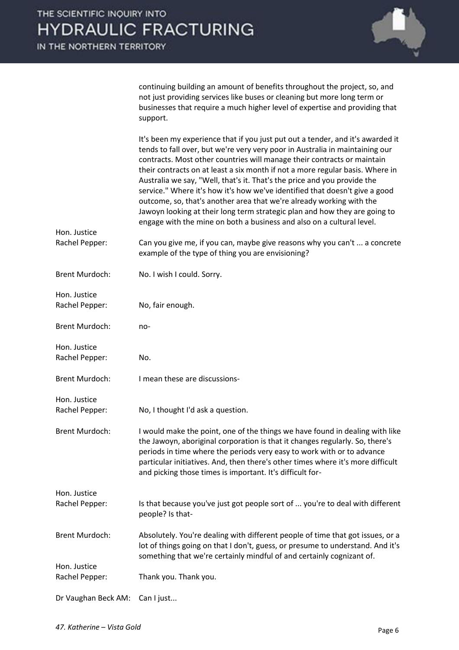continuing building an amount of benefits throughout the project, so, and not just providing services like buses or cleaning but more long term or businesses that require a much higher level of expertise and providing that support.

|                                | It's been my experience that if you just put out a tender, and it's awarded it<br>tends to fall over, but we're very very poor in Australia in maintaining our<br>contracts. Most other countries will manage their contracts or maintain<br>their contracts on at least a six month if not a more regular basis. Where in<br>Australia we say, "Well, that's it. That's the price and you provide the<br>service." Where it's how it's how we've identified that doesn't give a good<br>outcome, so, that's another area that we're already working with the<br>Jawoyn looking at their long term strategic plan and how they are going to<br>engage with the mine on both a business and also on a cultural level. |
|--------------------------------|----------------------------------------------------------------------------------------------------------------------------------------------------------------------------------------------------------------------------------------------------------------------------------------------------------------------------------------------------------------------------------------------------------------------------------------------------------------------------------------------------------------------------------------------------------------------------------------------------------------------------------------------------------------------------------------------------------------------|
| Hon. Justice<br>Rachel Pepper: | Can you give me, if you can, maybe give reasons why you can't  a concrete                                                                                                                                                                                                                                                                                                                                                                                                                                                                                                                                                                                                                                            |
|                                | example of the type of thing you are envisioning?                                                                                                                                                                                                                                                                                                                                                                                                                                                                                                                                                                                                                                                                    |
| <b>Brent Murdoch:</b>          | No. I wish I could. Sorry.                                                                                                                                                                                                                                                                                                                                                                                                                                                                                                                                                                                                                                                                                           |
| Hon. Justice                   |                                                                                                                                                                                                                                                                                                                                                                                                                                                                                                                                                                                                                                                                                                                      |
| Rachel Pepper:                 | No, fair enough.                                                                                                                                                                                                                                                                                                                                                                                                                                                                                                                                                                                                                                                                                                     |
| <b>Brent Murdoch:</b>          | no-                                                                                                                                                                                                                                                                                                                                                                                                                                                                                                                                                                                                                                                                                                                  |
| Hon. Justice                   |                                                                                                                                                                                                                                                                                                                                                                                                                                                                                                                                                                                                                                                                                                                      |
| Rachel Pepper:                 | No.                                                                                                                                                                                                                                                                                                                                                                                                                                                                                                                                                                                                                                                                                                                  |
| <b>Brent Murdoch:</b>          | I mean these are discussions-                                                                                                                                                                                                                                                                                                                                                                                                                                                                                                                                                                                                                                                                                        |
| Hon. Justice                   |                                                                                                                                                                                                                                                                                                                                                                                                                                                                                                                                                                                                                                                                                                                      |
| Rachel Pepper:                 | No, I thought I'd ask a question.                                                                                                                                                                                                                                                                                                                                                                                                                                                                                                                                                                                                                                                                                    |
| <b>Brent Murdoch:</b>          | I would make the point, one of the things we have found in dealing with like<br>the Jawoyn, aboriginal corporation is that it changes regularly. So, there's<br>periods in time where the periods very easy to work with or to advance<br>particular initiatives. And, then there's other times where it's more difficult<br>and picking those times is important. It's difficult for-                                                                                                                                                                                                                                                                                                                               |
| Hon. Justice                   |                                                                                                                                                                                                                                                                                                                                                                                                                                                                                                                                                                                                                                                                                                                      |
| Rachel Pepper:                 | Is that because you've just got people sort of  you're to deal with different<br>people? Is that-                                                                                                                                                                                                                                                                                                                                                                                                                                                                                                                                                                                                                    |
| <b>Brent Murdoch:</b>          | Absolutely. You're dealing with different people of time that got issues, or a<br>lot of things going on that I don't, guess, or presume to understand. And it's<br>something that we're certainly mindful of and certainly cognizant of.                                                                                                                                                                                                                                                                                                                                                                                                                                                                            |
| Hon. Justice<br>Rachel Pepper: | Thank you. Thank you.                                                                                                                                                                                                                                                                                                                                                                                                                                                                                                                                                                                                                                                                                                |
|                                |                                                                                                                                                                                                                                                                                                                                                                                                                                                                                                                                                                                                                                                                                                                      |
| Dr Vaughan Beck AM:            | Can I just                                                                                                                                                                                                                                                                                                                                                                                                                                                                                                                                                                                                                                                                                                           |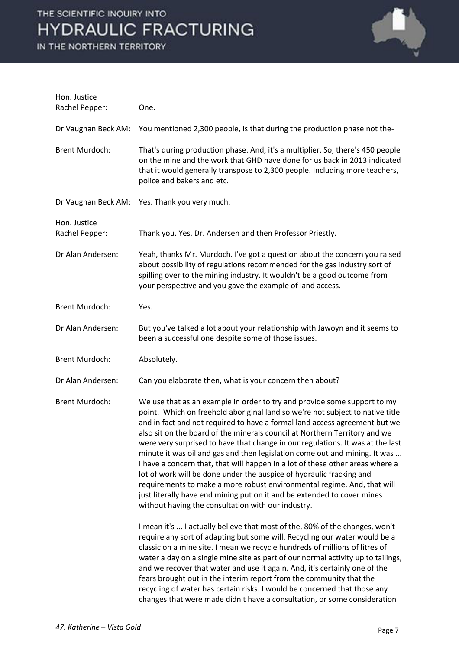

| Hon. Justice<br>Rachel Pepper: | One.                                                                                                                                                                                                                                                                                                                                                                                                                                                                                                                                                                                                                                                                                                                                                                                                                                                       |
|--------------------------------|------------------------------------------------------------------------------------------------------------------------------------------------------------------------------------------------------------------------------------------------------------------------------------------------------------------------------------------------------------------------------------------------------------------------------------------------------------------------------------------------------------------------------------------------------------------------------------------------------------------------------------------------------------------------------------------------------------------------------------------------------------------------------------------------------------------------------------------------------------|
| Dr Vaughan Beck AM:            | You mentioned 2,300 people, is that during the production phase not the-                                                                                                                                                                                                                                                                                                                                                                                                                                                                                                                                                                                                                                                                                                                                                                                   |
| <b>Brent Murdoch:</b>          | That's during production phase. And, it's a multiplier. So, there's 450 people<br>on the mine and the work that GHD have done for us back in 2013 indicated<br>that it would generally transpose to 2,300 people. Including more teachers,<br>police and bakers and etc.                                                                                                                                                                                                                                                                                                                                                                                                                                                                                                                                                                                   |
| Dr Vaughan Beck AM:            | Yes. Thank you very much.                                                                                                                                                                                                                                                                                                                                                                                                                                                                                                                                                                                                                                                                                                                                                                                                                                  |
| Hon. Justice<br>Rachel Pepper: | Thank you. Yes, Dr. Andersen and then Professor Priestly.                                                                                                                                                                                                                                                                                                                                                                                                                                                                                                                                                                                                                                                                                                                                                                                                  |
| Dr Alan Andersen:              | Yeah, thanks Mr. Murdoch. I've got a question about the concern you raised<br>about possibility of regulations recommended for the gas industry sort of<br>spilling over to the mining industry. It wouldn't be a good outcome from<br>your perspective and you gave the example of land access.                                                                                                                                                                                                                                                                                                                                                                                                                                                                                                                                                           |
| <b>Brent Murdoch:</b>          | Yes.                                                                                                                                                                                                                                                                                                                                                                                                                                                                                                                                                                                                                                                                                                                                                                                                                                                       |
| Dr Alan Andersen:              | But you've talked a lot about your relationship with Jawoyn and it seems to<br>been a successful one despite some of those issues.                                                                                                                                                                                                                                                                                                                                                                                                                                                                                                                                                                                                                                                                                                                         |
| <b>Brent Murdoch:</b>          | Absolutely.                                                                                                                                                                                                                                                                                                                                                                                                                                                                                                                                                                                                                                                                                                                                                                                                                                                |
| Dr Alan Andersen:              | Can you elaborate then, what is your concern then about?                                                                                                                                                                                                                                                                                                                                                                                                                                                                                                                                                                                                                                                                                                                                                                                                   |
| <b>Brent Murdoch:</b>          | We use that as an example in order to try and provide some support to my<br>point. Which on freehold aboriginal land so we're not subject to native title<br>and in fact and not required to have a formal land access agreement but we<br>also sit on the board of the minerals council at Northern Territory and we<br>were very surprised to have that change in our regulations. It was at the last<br>minute it was oil and gas and then legislation come out and mining. It was<br>I have a concern that, that will happen in a lot of these other areas where a<br>lot of work will be done under the auspice of hydraulic fracking and<br>requirements to make a more robust environmental regime. And, that will<br>just literally have end mining put on it and be extended to cover mines<br>without having the consultation with our industry. |
|                                | I mean it's  I actually believe that most of the, 80% of the changes, won't<br>require any sort of adapting but some will. Recycling our water would be a<br>classic on a mine site. I mean we recycle hundreds of millions of litres of<br>water a day on a single mine site as part of our normal activity up to tailings,<br>and we recover that water and use it again. And, it's certainly one of the<br>fears brought out in the interim report from the community that the<br>recycling of water has certain risks. I would be concerned that those any<br>changes that were made didn't have a consultation, or some consideration                                                                                                                                                                                                                 |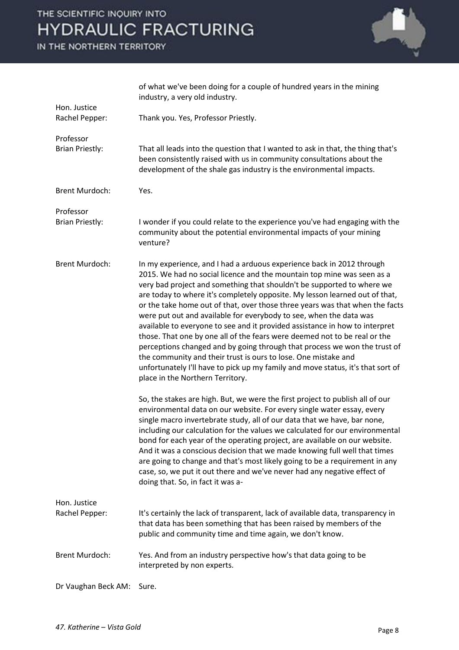

|                                     | of what we've been doing for a couple of hundred years in the mining<br>industry, a very old industry.                                                                                                                                                                                                                                                                                                                                                                                                                                                                                                                                                                                                                                                                                                                                                                                           |
|-------------------------------------|--------------------------------------------------------------------------------------------------------------------------------------------------------------------------------------------------------------------------------------------------------------------------------------------------------------------------------------------------------------------------------------------------------------------------------------------------------------------------------------------------------------------------------------------------------------------------------------------------------------------------------------------------------------------------------------------------------------------------------------------------------------------------------------------------------------------------------------------------------------------------------------------------|
| Hon. Justice<br>Rachel Pepper:      | Thank you. Yes, Professor Priestly.                                                                                                                                                                                                                                                                                                                                                                                                                                                                                                                                                                                                                                                                                                                                                                                                                                                              |
| Professor<br><b>Brian Priestly:</b> | That all leads into the question that I wanted to ask in that, the thing that's<br>been consistently raised with us in community consultations about the<br>development of the shale gas industry is the environmental impacts.                                                                                                                                                                                                                                                                                                                                                                                                                                                                                                                                                                                                                                                                  |
| <b>Brent Murdoch:</b>               | Yes.                                                                                                                                                                                                                                                                                                                                                                                                                                                                                                                                                                                                                                                                                                                                                                                                                                                                                             |
| Professor<br><b>Brian Priestly:</b> | I wonder if you could relate to the experience you've had engaging with the<br>community about the potential environmental impacts of your mining<br>venture?                                                                                                                                                                                                                                                                                                                                                                                                                                                                                                                                                                                                                                                                                                                                    |
| <b>Brent Murdoch:</b>               | In my experience, and I had a arduous experience back in 2012 through<br>2015. We had no social licence and the mountain top mine was seen as a<br>very bad project and something that shouldn't be supported to where we<br>are today to where it's completely opposite. My lesson learned out of that,<br>or the take home out of that, over those three years was that when the facts<br>were put out and available for everybody to see, when the data was<br>available to everyone to see and it provided assistance in how to interpret<br>those. That one by one all of the fears were deemed not to be real or the<br>perceptions changed and by going through that process we won the trust of<br>the community and their trust is ours to lose. One mistake and<br>unfortunately I'll have to pick up my family and move status, it's that sort of<br>place in the Northern Territory. |
|                                     | So, the stakes are high. But, we were the first project to publish all of our<br>environmental data on our website. For every single water essay, every<br>single macro invertebrate study, all of our data that we have, bar none,<br>including our calculation for the values we calculated for our environmental<br>bond for each year of the operating project, are available on our website.<br>And it was a conscious decision that we made knowing full well that times<br>are going to change and that's most likely going to be a requirement in any<br>case, so, we put it out there and we've never had any negative effect of<br>doing that. So, in fact it was a-                                                                                                                                                                                                                   |
| Hon. Justice<br>Rachel Pepper:      | It's certainly the lack of transparent, lack of available data, transparency in<br>that data has been something that has been raised by members of the<br>public and community time and time again, we don't know.                                                                                                                                                                                                                                                                                                                                                                                                                                                                                                                                                                                                                                                                               |
| <b>Brent Murdoch:</b>               | Yes. And from an industry perspective how's that data going to be<br>interpreted by non experts.                                                                                                                                                                                                                                                                                                                                                                                                                                                                                                                                                                                                                                                                                                                                                                                                 |
| Dr Vaughan Beck AM:                 | Sure.                                                                                                                                                                                                                                                                                                                                                                                                                                                                                                                                                                                                                                                                                                                                                                                                                                                                                            |